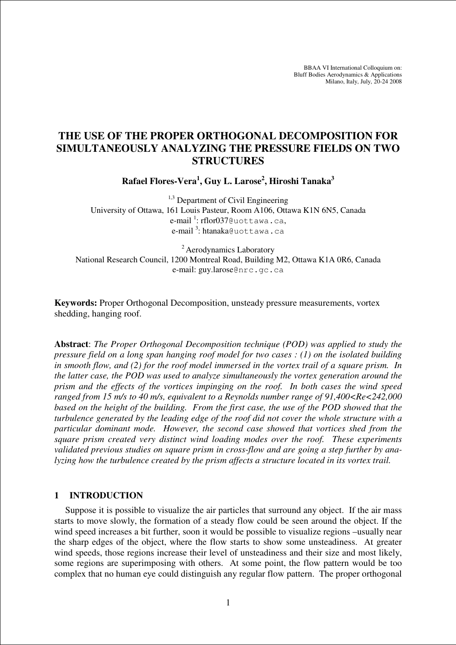BBAA VI International Colloquium on: Bluff Bodies Aerodynamics & Applications Milano, Italy, July, 20-24 2008

# **THE USE OF THE PROPER ORTHOGONAL DECOMPOSITION FOR SIMULTANEOUSLY ANALYZING THE PRESSURE FIELDS ON TWO STRUCTURES**

**Rafael Flores-Vera<sup>1</sup> , Guy L. Larose<sup>2</sup> , Hiroshi Tanaka<sup>3</sup>**

 $1,3$  Department of Civil Engineering University of Ottawa, 161 Louis Pasteur, Room A106, Ottawa K1N 6N5, Canada e-mail<sup>1</sup>: rflor037@uottawa.ca, e-mail<sup>3</sup>:htanaka@uottawa.ca

<sup>2</sup> Aerodynamics Laboratory National Research Council, 1200 Montreal Road, Building M2, Ottawa K1A 0R6, Canada e-mail: guy.larose@nrc.gc.ca

**Keywords:** Proper Orthogonal Decomposition, unsteady pressure measurements, vortex shedding, hanging roof.

**Abstract**: *The Proper Orthogonal Decomposition technique (POD) was applied to study the pressure field on a long span hanging roof model for two cases : (1) on the isolated building in smooth flow, and (2) for the roof model immersed in the vortex trail of a square prism. In the latter case, the POD was used to analyze simultaneously the vortex generation around the prism and the effects of the vortices impinging on the roof. In both cases the wind speed ranged from 15 m/s to 40 m/s, equivalent to a Reynolds number range of 91,400<Re<242,000 based on the height of the building. From the first case, the use of the POD showed that the turbulence generated by the leading edge of the roof did not cover the whole structure with a particular dominant mode. However, the second case showed that vortices shed from the square prism created very distinct wind loading modes over the roof. These experiments validated previous studies on square prism in cross-flow and are going a step further by analyzing how the turbulence created by the prism affects a structure located in its vortex trail.* 

#### **1 INTRODUCTION**

Suppose it is possible to visualize the air particles that surround any object. If the air mass starts to move slowly, the formation of a steady flow could be seen around the object. If the wind speed increases a bit further, soon it would be possible to visualize regions –usually near the sharp edges of the object, where the flow starts to show some unsteadiness. At greater wind speeds, those regions increase their level of unsteadiness and their size and most likely, some regions are superimposing with others. At some point, the flow pattern would be too complex that no human eye could distinguish any regular flow pattern. The proper orthogonal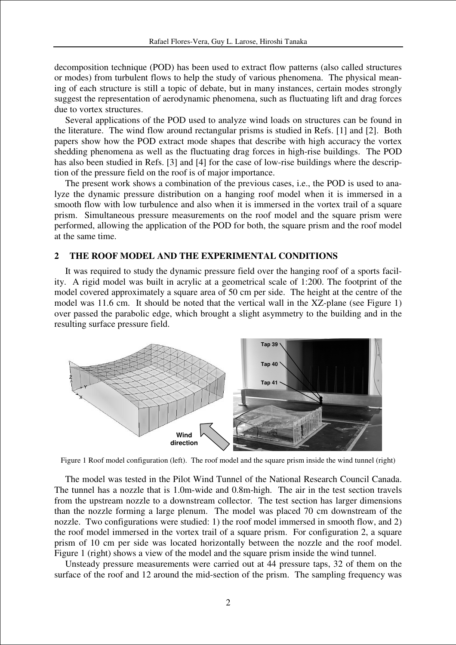decomposition technique (POD) has been used to extract flow patterns (also called structures or modes) from turbulent flows to help the study of various phenomena. The physical meaning of each structure is still a topic of debate, but in many instances, certain modes strongly suggest the representation of aerodynamic phenomena, such as fluctuating lift and drag forces due to vortex structures.

Several applications of the POD used to analyze wind loads on structures can be found in the literature. The wind flow around rectangular prisms is studied in Refs. [1] and [2]. Both papers show how the POD extract mode shapes that describe with high accuracy the vortex shedding phenomena as well as the fluctuating drag forces in high-rise buildings. The POD has also been studied in Refs. [3] and [4] for the case of low-rise buildings where the description of the pressure field on the roof is of major importance.

The present work shows a combination of the previous cases, i.e., the POD is used to analyze the dynamic pressure distribution on a hanging roof model when it is immersed in a smooth flow with low turbulence and also when it is immersed in the vortex trail of a square prism. Simultaneous pressure measurements on the roof model and the square prism were performed, allowing the application of the POD for both, the square prism and the roof model at the same time.

#### **2 THE ROOF MODEL AND THE EXPERIMENTAL CONDITIONS**

It was required to study the dynamic pressure field over the hanging roof of a sports facility. A rigid model was built in acrylic at a geometrical scale of 1:200. The footprint of the model covered approximately a square area of 50 cm per side. The height at the centre of the model was 11.6 cm. It should be noted that the vertical wall in the XZ-plane (see Figure 1) over passed the parabolic edge, which brought a slight asymmetry to the building and in the resulting surface pressure field.



Figure 1 Roof model configuration (left). The roof model and the square prism inside the wind tunnel (right)

The model was tested in the Pilot Wind Tunnel of the National Research Council Canada. The tunnel has a nozzle that is 1.0m-wide and 0.8m-high. The air in the test section travels from the upstream nozzle to a downstream collector. The test section has larger dimensions than the nozzle forming a large plenum. The model was placed 70 cm downstream of the nozzle. Two configurations were studied: 1) the roof model immersed in smooth flow, and 2) the roof model immersed in the vortex trail of a square prism. For configuration 2, a square prism of 10 cm per side was located horizontally between the nozzle and the roof model. Figure 1 (right) shows a view of the model and the square prism inside the wind tunnel.

Unsteady pressure measurements were carried out at 44 pressure taps, 32 of them on the surface of the roof and 12 around the mid-section of the prism. The sampling frequency was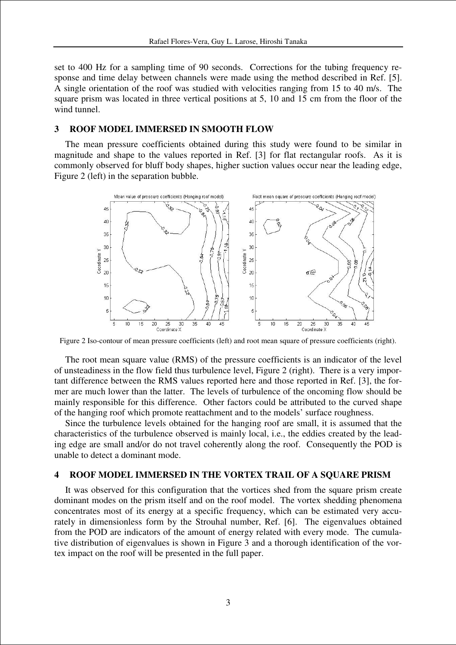set to 400 Hz for a sampling time of 90 seconds. Corrections for the tubing frequency response and time delay between channels were made using the method described in Ref. [5]. A single orientation of the roof was studied with velocities ranging from 15 to 40 m/s. The square prism was located in three vertical positions at 5, 10 and 15 cm from the floor of the wind tunnel.

#### **3 ROOF MODEL IMMERSED IN SMOOTH FLOW**

The mean pressure coefficients obtained during this study were found to be similar in magnitude and shape to the values reported in Ref. [3] for flat rectangular roofs. As it is commonly observed for bluff body shapes, higher suction values occur near the leading edge, Figure 2 (left) in the separation bubble.



Figure 2 Iso-contour of mean pressure coefficients (left) and root mean square of pressure coefficients (right).

The root mean square value (RMS) of the pressure coefficients is an indicator of the level of unsteadiness in the flow field thus turbulence level, Figure 2 (right). There is a very important difference between the RMS values reported here and those reported in Ref. [3], the former are much lower than the latter. The levels of turbulence of the oncoming flow should be mainly responsible for this difference. Other factors could be attributed to the curved shape of the hanging roof which promote reattachment and to the models' surface roughness.

Since the turbulence levels obtained for the hanging roof are small, it is assumed that the characteristics of the turbulence observed is mainly local, i.e., the eddies created by the leading edge are small and/or do not travel coherently along the roof. Consequently the POD is unable to detect a dominant mode.

#### **4 ROOF MODEL IMMERSED IN THE VORTEX TRAIL OF A SQUARE PRISM**

It was observed for this configuration that the vortices shed from the square prism create dominant modes on the prism itself and on the roof model. The vortex shedding phenomena concentrates most of its energy at a specific frequency, which can be estimated very accurately in dimensionless form by the Strouhal number, Ref. [6]. The eigenvalues obtained from the POD are indicators of the amount of energy related with every mode. The cumulative distribution of eigenvalues is shown in Figure 3 and a thorough identification of the vortex impact on the roof will be presented in the full paper.